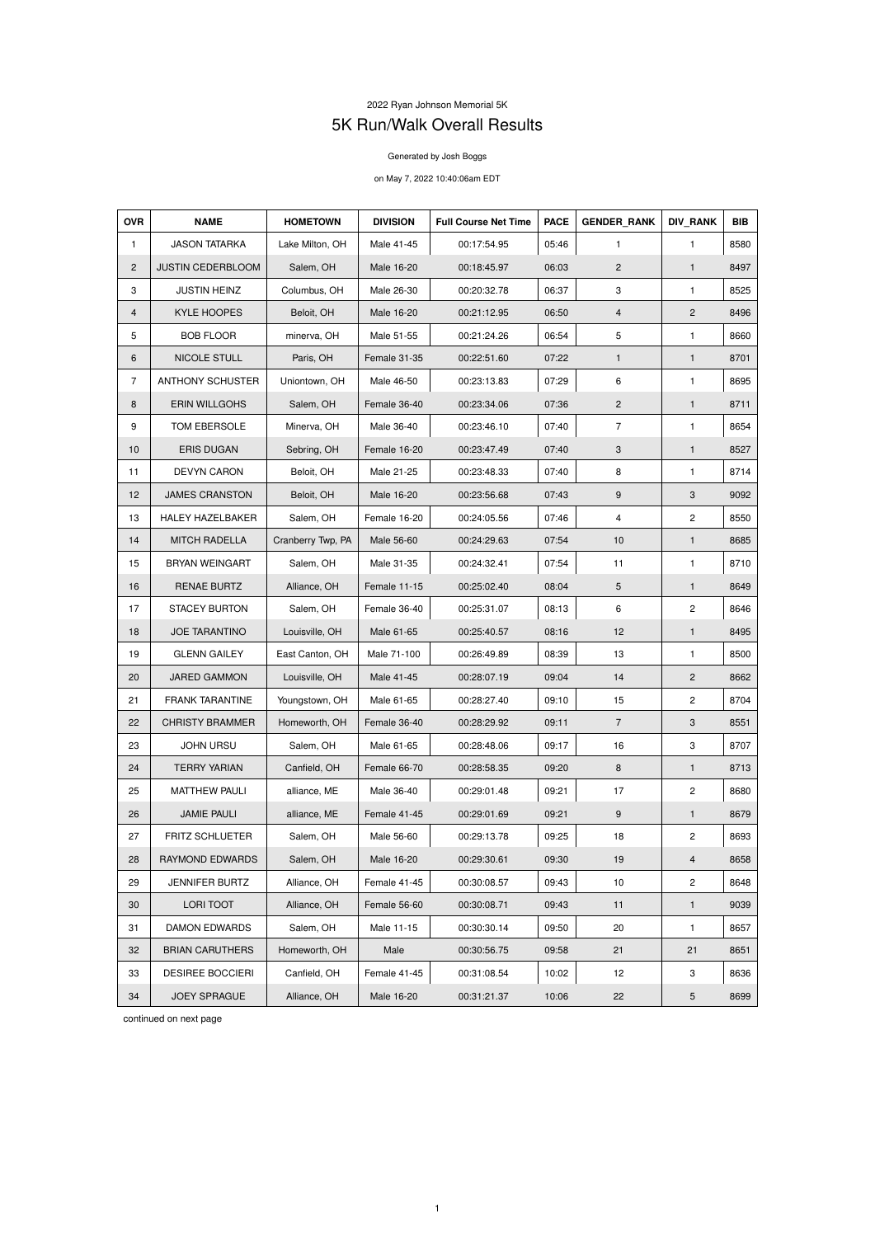## 2022 Ryan Johnson Memorial 5K 5K Run/Walk Overall Results

## Generated by Josh Boggs

## on May 7, 2022 10:40:06am EDT

| <b>OVR</b>     | <b>NAME</b>              | <b>HOMETOWN</b>   | <b>DIVISION</b> | <b>Full Course Net Time</b> | <b>PACE</b> | <b>GENDER RANK</b> | <b>DIV_RANK</b>         | <b>BIB</b> |
|----------------|--------------------------|-------------------|-----------------|-----------------------------|-------------|--------------------|-------------------------|------------|
| $\mathbf{1}$   | <b>JASON TATARKA</b>     | Lake Milton, OH   | Male 41-45      | 00:17:54.95                 | 05:46       | 1                  | $\mathbf{1}$            | 8580       |
| $\overline{2}$ | <b>JUSTIN CEDERBLOOM</b> | Salem, OH         | Male 16-20      | 00:18:45.97                 | 06:03       | 2                  | $\mathbf{1}$            | 8497       |
| 3              | <b>JUSTIN HEINZ</b>      | Columbus, OH      | Male 26-30      | 00:20:32.78                 | 06:37       | 3                  | 1                       | 8525       |
| $\overline{4}$ | <b>KYLE HOOPES</b>       | Beloit, OH        | Male 16-20      | 00:21:12.95                 | 06:50       | $\overline{4}$     | $\overline{2}$          | 8496       |
| 5              | <b>BOB FLOOR</b>         | minerva, OH       | Male 51-55      | 00:21:24.26                 | 06:54       | 5                  | 1                       | 8660       |
| 6              | NICOLE STULL             | Paris, OH         | Female 31-35    | 00:22:51.60                 | 07:22       | $\mathbf{1}$       | $\mathbf{1}$            | 8701       |
| $\overline{7}$ | <b>ANTHONY SCHUSTER</b>  | Uniontown, OH     | Male 46-50      | 00:23:13.83                 | 07:29       | 6                  | 1                       | 8695       |
| 8              | <b>ERIN WILLGOHS</b>     | Salem, OH         | Female 36-40    | 00:23:34.06                 | 07:36       | $\overline{c}$     | $\mathbf{1}$            | 8711       |
| 9              | TOM EBERSOLE             | Minerva, OH       | Male 36-40      | 00:23:46.10                 | 07:40       | $\overline{7}$     | 1                       | 8654       |
| 10             | <b>ERIS DUGAN</b>        | Sebring, OH       | Female 16-20    | 00:23:47.49                 | 07:40       | 3                  | $\mathbf{1}$            | 8527       |
| 11             | <b>DEVYN CARON</b>       | Beloit, OH        | Male 21-25      | 00:23:48.33                 | 07:40       | 8                  | 1                       | 8714       |
| 12             | <b>JAMES CRANSTON</b>    | Beloit, OH        | Male 16-20      | 00:23:56.68                 | 07:43       | 9                  | $\mathbf{3}$            | 9092       |
| 13             | HALEY HAZELBAKER         | Salem, OH         | Female 16-20    | 00:24:05.56                 | 07:46       | 4                  | $\overline{c}$          | 8550       |
| 14             | <b>MITCH RADELLA</b>     | Cranberry Twp, PA | Male 56-60      | 00:24:29.63                 | 07:54       | 10                 | $\mathbf{1}$            | 8685       |
| 15             | <b>BRYAN WEINGART</b>    | Salem, OH         | Male 31-35      | 00:24:32.41                 | 07:54       | 11                 | 1                       | 8710       |
| 16             | <b>RENAE BURTZ</b>       | Alliance, OH      | Female 11-15    | 00:25:02.40                 | 08:04       | 5                  | $\mathbf{1}$            | 8649       |
| 17             | <b>STACEY BURTON</b>     | Salem, OH         | Female 36-40    | 00:25:31.07                 | 08:13       | 6                  | 2                       | 8646       |
| 18             | <b>JOE TARANTINO</b>     | Louisville, OH    | Male 61-65      | 00:25:40.57                 | 08:16       | 12                 | 1                       | 8495       |
| 19             | <b>GLENN GAILEY</b>      | East Canton, OH   | Male 71-100     | 00:26:49.89                 | 08:39       | 13                 | 1                       | 8500       |
| 20             | <b>JARED GAMMON</b>      | Louisville, OH    | Male 41-45      | 00:28:07.19                 | 09:04       | 14                 | $\mathbf{2}$            | 8662       |
| 21             | <b>FRANK TARANTINE</b>   | Youngstown, OH    | Male 61-65      | 00:28:27.40                 | 09:10       | 15                 | $\overline{c}$          | 8704       |
| 22             | <b>CHRISTY BRAMMER</b>   | Homeworth, OH     | Female 36-40    | 00:28:29.92                 | 09:11       | $\overline{7}$     | 3                       | 8551       |
| 23             | <b>JOHN URSU</b>         | Salem, OH         | Male 61-65      | 00:28:48.06                 | 09:17       | 16                 | 3                       | 8707       |
| 24             | <b>TERRY YARIAN</b>      | Canfield, OH      | Female 66-70    | 00:28:58.35                 | 09:20       | 8                  | 1                       | 8713       |
| 25             | <b>MATTHEW PAULI</b>     | alliance, ME      | Male 36-40      | 00:29:01.48                 | 09:21       | 17                 | $\overline{c}$          | 8680       |
| 26             | <b>JAMIE PAULI</b>       | alliance, ME      | Female 41-45    | 00:29:01.69                 | 09:21       | 9                  | 1                       | 8679       |
| 27             | FRITZ SCHLUETER          | Salem, OH         | Male 56-60      | 00:29:13.78                 | 09:25       | 18                 | $\overline{c}$          | 8693       |
| 28             | RAYMOND EDWARDS          | Salem, OH         | Male 16-20      | 00:29:30.61                 | 09:30       | 19                 | $\overline{\mathbf{r}}$ | 8658       |
| 29             | <b>JENNIFER BURTZ</b>    | Alliance, OH      | Female 41-45    | 00:30:08.57                 | 09:43       | 10                 | $\overline{c}$          | 8648       |
| 30             | LORI TOOT                | Alliance, OH      | Female 56-60    | 00:30:08.71                 | 09:43       | 11                 | 1                       | 9039       |
| 31             | DAMON EDWARDS            | Salem, OH         | Male 11-15      | 00:30:30.14                 | 09:50       | 20                 | 1                       | 8657       |
| 32             | <b>BRIAN CARUTHERS</b>   | Homeworth, OH     | Male            | 00:30:56.75                 | 09:58       | 21                 | 21                      | 8651       |
| 33             | <b>DESIREE BOCCIERI</b>  | Canfield, OH      | Female 41-45    | 00:31:08.54                 | 10:02       | 12                 | 3                       | 8636       |
| 34             | <b>JOEY SPRAGUE</b>      | Alliance, OH      | Male 16-20      | 00:31:21.37                 | 10:06       | 22                 | 5                       | 8699       |

continued on next page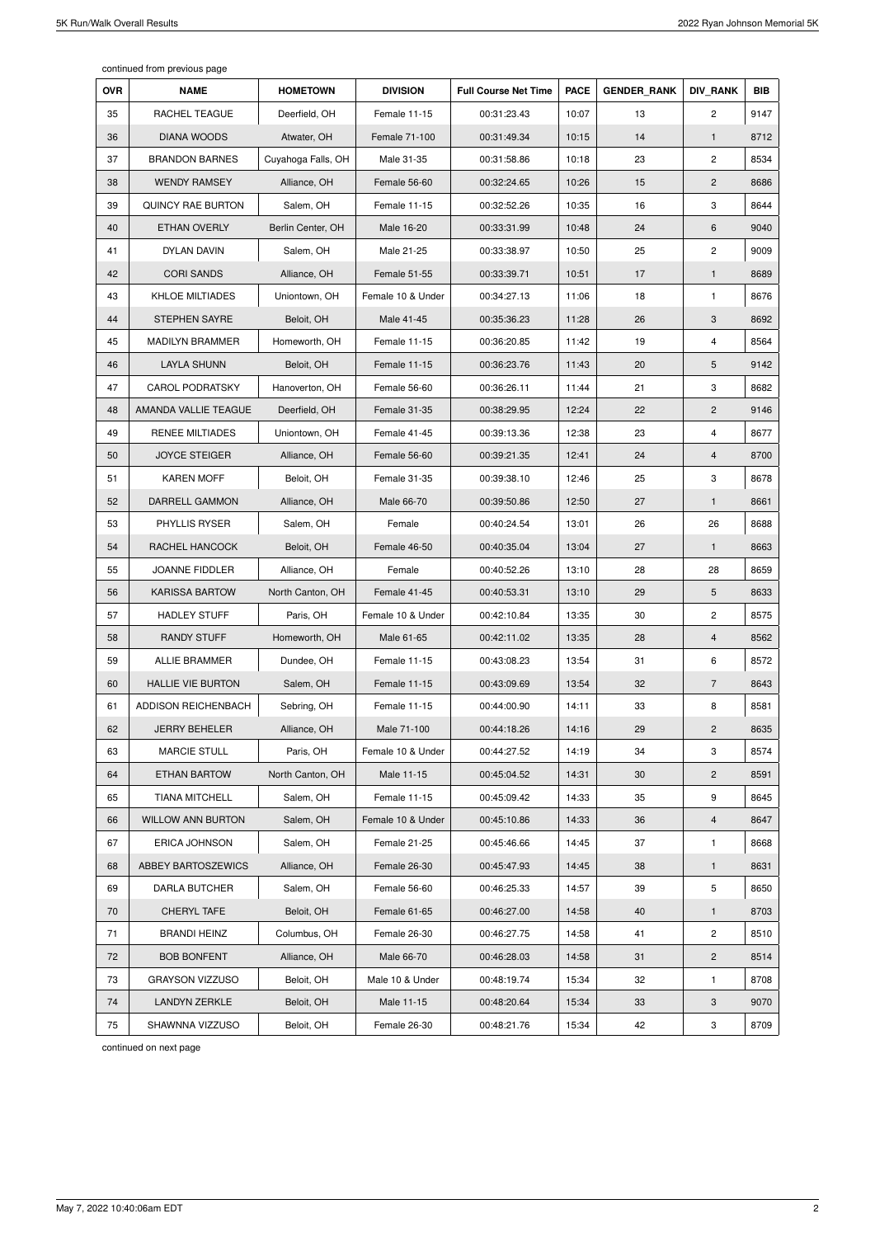continued from previous page

| <b>OVR</b> | <b>NAME</b>              | <b>HOMETOWN</b>    | <b>DIVISION</b>   | <b>Full Course Net Time</b> | <b>PACE</b> | <b>GENDER RANK</b> | <b>DIV RANK</b>       | <b>BIB</b> |
|------------|--------------------------|--------------------|-------------------|-----------------------------|-------------|--------------------|-----------------------|------------|
| 35         | RACHEL TEAGUE            | Deerfield, OH      | Female 11-15      | 00:31:23.43                 | 10:07       | 13                 | $\mathbf{2}^{\prime}$ | 9147       |
| 36         | <b>DIANA WOODS</b>       | Atwater, OH        | Female 71-100     | 00:31:49.34                 | 10:15       | 14                 | $\mathbf{1}$          | 8712       |
| 37         | <b>BRANDON BARNES</b>    | Cuyahoga Falls, OH | Male 31-35        | 00:31:58.86                 | 10:18       | 23                 | $\overline{2}$        | 8534       |
| 38         | <b>WENDY RAMSEY</b>      | Alliance, OH       | Female 56-60      | 00:32:24.65                 | 10:26       | 15                 | $\mathbf{2}$          | 8686       |
| 39         | <b>QUINCY RAE BURTON</b> | Salem, OH          | Female 11-15      | 00:32:52.26                 | 10:35       | 16                 | 3                     | 8644       |
| 40         | ETHAN OVERLY             | Berlin Center, OH  | Male 16-20        | 00:33:31.99                 | 10:48       | 24                 | 6                     | 9040       |
| 41         | <b>DYLAN DAVIN</b>       | Salem, OH          | Male 21-25        | 00:33:38.97                 | 10:50       | 25                 | $\mathbf{2}$          | 9009       |
| 42         | <b>CORI SANDS</b>        | Alliance, OH       | Female 51-55      | 00:33:39.71                 | 10:51       | 17                 | $\mathbf{1}$          | 8689       |
| 43         | <b>KHLOE MILTIADES</b>   | Uniontown, OH      | Female 10 & Under | 00:34:27.13                 | 11:06       | 18                 | $\mathbf{1}$          | 8676       |
| 44         | STEPHEN SAYRE            | Beloit, OH         | Male 41-45        | 00:35:36.23                 | 11:28       | 26                 | 3                     | 8692       |
| 45         | <b>MADILYN BRAMMER</b>   | Homeworth, OH      | Female 11-15      | 00:36:20.85                 | 11:42       | 19                 | 4                     | 8564       |
| 46         | <b>LAYLA SHUNN</b>       | Beloit, OH         | Female 11-15      | 00:36:23.76                 | 11:43       | 20                 | 5                     | 9142       |
| 47         | <b>CAROL PODRATSKY</b>   | Hanoverton, OH     | Female 56-60      | 00:36:26.11                 | 11:44       | 21                 | 3                     | 8682       |
| 48         | AMANDA VALLIE TEAGUE     | Deerfield, OH      | Female 31-35      | 00:38:29.95                 | 12:24       | 22                 | $\mathbf{2}$          | 9146       |
| 49         | <b>RENEE MILTIADES</b>   | Uniontown, OH      | Female 41-45      | 00:39:13.36                 | 12:38       | 23                 | 4                     | 8677       |
| 50         | <b>JOYCE STEIGER</b>     | Alliance, OH       | Female 56-60      | 00:39:21.35                 | 12:41       | 24                 | 4                     | 8700       |
| 51         | <b>KAREN MOFF</b>        | Beloit, OH         | Female 31-35      | 00:39:38.10                 | 12:46       | 25                 | 3                     | 8678       |
| 52         | DARRELL GAMMON           | Alliance, OH       | Male 66-70        | 00:39:50.86                 | 12:50       | 27                 | $\mathbf{1}$          | 8661       |
| 53         | PHYLLIS RYSER            | Salem, OH          | Female            | 00:40:24.54                 | 13:01       | 26                 | 26                    | 8688       |
| 54         | RACHEL HANCOCK           | Beloit, OH         | Female 46-50      | 00:40:35.04                 | 13:04       | 27                 | $\mathbf{1}$          | 8663       |
| 55         | JOANNE FIDDLER           | Alliance, OH       | Female            | 00:40:52.26                 | 13:10       | 28                 | 28                    | 8659       |
| 56         | <b>KARISSA BARTOW</b>    | North Canton, OH   | Female 41-45      | 00:40:53.31                 | 13:10       | 29                 | 5                     | 8633       |
| 57         | <b>HADLEY STUFF</b>      | Paris, OH          | Female 10 & Under | 00:42:10.84                 | 13:35       | 30                 | $\overline{c}$        | 8575       |
| 58         | <b>RANDY STUFF</b>       | Homeworth, OH      | Male 61-65        | 00:42:11.02                 | 13:35       | 28                 | $\overline{4}$        | 8562       |
| 59         | <b>ALLIE BRAMMER</b>     | Dundee, OH         | Female 11-15      | 00:43:08.23                 | 13:54       | 31                 | 6                     | 8572       |
| 60         | <b>HALLIE VIE BURTON</b> | Salem, OH          | Female 11-15      | 00:43:09.69                 | 13:54       | 32                 | $\overline{7}$        | 8643       |
| 61         | ADDISON REICHENBACH      | Sebring, OH        | Female 11-15      | 00:44:00.90                 | 14:11       | 33                 | 8                     | 8581       |
| 62         | <b>JERRY BEHELER</b>     | Alliance, OH       | Male 71-100       | 00:44:18.26                 | 14:16       | 29                 | $\overline{c}$        | 8635       |
| 63         | <b>MARCIE STULL</b>      | Paris, OH          | Female 10 & Under | 00:44:27.52                 | 14:19       | 34                 | 3                     | 8574       |
| 64         | ETHAN BARTOW             | North Canton, OH   | Male 11-15        | 00:45:04.52                 | 14:31       | 30                 | $\overline{c}$        | 8591       |
| 65         | <b>TIANA MITCHELL</b>    | Salem, OH          | Female 11-15      | 00:45:09.42                 | 14:33       | 35                 | 9                     | 8645       |
| 66         | <b>WILLOW ANN BURTON</b> | Salem, OH          | Female 10 & Under | 00:45:10.86                 | 14:33       | 36                 | 4                     | 8647       |
| 67         | ERICA JOHNSON            | Salem, OH          | Female 21-25      | 00:45:46.66                 | 14:45       | 37                 | 1                     | 8668       |
| 68         | ABBEY BARTOSZEWICS       | Alliance, OH       | Female 26-30      | 00:45:47.93                 | 14:45       | 38                 | $\mathbf{1}$          | 8631       |
| 69         | DARLA BUTCHER            | Salem, OH          | Female 56-60      | 00:46:25.33                 | 14:57       | 39                 | 5                     | 8650       |
| 70         | CHERYL TAFE              | Beloit, OH         | Female 61-65      | 00:46:27.00                 | 14:58       | 40                 | $\mathbf{1}$          | 8703       |
| 71         | <b>BRANDI HEINZ</b>      | Columbus, OH       | Female 26-30      | 00:46:27.75                 | 14:58       | 41                 | $\overline{c}$        | 8510       |
| 72         | <b>BOB BONFENT</b>       | Alliance, OH       | Male 66-70        | 00:46:28.03                 | 14:58       | 31                 | $\overline{2}$        | 8514       |
| 73         | <b>GRAYSON VIZZUSO</b>   | Beloit, OH         | Male 10 & Under   | 00:48:19.74                 | 15:34       | 32                 | 1                     | 8708       |
| 74         | <b>LANDYN ZERKLE</b>     | Beloit, OH         | Male 11-15        | 00:48:20.64                 | 15:34       | 33                 | 3                     | 9070       |
| 75         | SHAWNNA VIZZUSO          | Beloit, OH         | Female 26-30      | 00:48:21.76                 | 15:34       | 42                 | 3                     | 8709       |

continued on next page